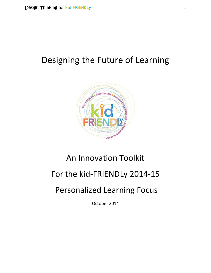# Designing the Future of Learning



# An Innovation Toolkit

# For the kid-FRIENDLy 2014-15

# Personalized Learning Focus

October 2014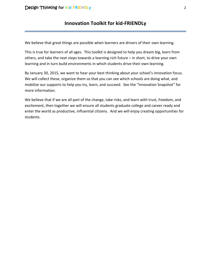## **Innovation Toolkit for kid-FRIENDLy**

We believe that great things are possible when learners are drivers of their own learning.

This is true for learners of all ages. This toolkit is designed to help you dream big, learn from others, and take the next steps towards a learning-rich future – in short, to drive your own learning and in turn build environments in which students drive their own learning.

By January 30, 2015, we want to hear your best thinking about your school's innovation focus. We will collect these, organize them so that you can see which schools are doing what, and mobilize our supports to help you try, learn, and succeed. See the "Innovation Snapshot" for more information.

We believe that if we are all part of the change, take risks, and learn with trust, freedom, and excitement, then together we will ensure all students graduate college and career ready and enter the world as productive, influential citizens. And we will enjoy creating opportunities for students.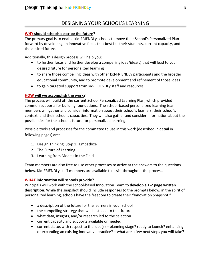## DESIGNING YOUR SCHOOL'S LEARNING

#### **WHY should schools describe the future**?

The primary goal is to enable kid-FRIENDLy schools to move their School's Personalized Plan forward by developing an innovative focus that best fits their students, current capacity, and the desired future.

Additionally, this design process will help you:

- to further focus and further develop a compelling idea/idea(s) that will lead to your desired future for personalized learning
- to share those compelling ideas with other kid-FRIENDLy participants and the broader educational community, and to promote development and refinement of those ideas
- to gain targeted support from kid-FRIENDLy staff and resources

### **HOW will we accomplish the work**?

The process will build off the current School Personalized Learning Plan, which provided common supports for building foundations. The school-based personalized learning team members will gather and consider information about their school's learners, their school's context, and their school's capacities. They will also gather and consider information about the possibilities for the school's future for personalized learning.

Possible tools and processes for the committee to use in this work (described in detail in following pages) are:

- 1. Design Thinking, Step 1: Empathize
- 2. The Future of Learning
- 3. Learning from Models in the Field

Team members are also free to use other processes to arrive at the answers to the questions below. Kid-FRIENDLy staff members are available to assist throughout the process.

#### **WHAT information will schools provide**?

Principals will work with the school-based Innovation Team to **develop a 1-2 page written description**. While the snapshot should include responses to the prompts below, in the spirit of personalized learning, schools have the freedom to create their "Innovation Snapshot."

- a description of the future for the learners in your school
- the compelling strategy that will best lead to that future
- what data, insights, and/or research led to the selection
- current capacity and supports available or needed
- current status with respect to the idea(s) planning stage? ready to launch? enhancing or expanding an existing innovative practice? – what are a few next steps you will take?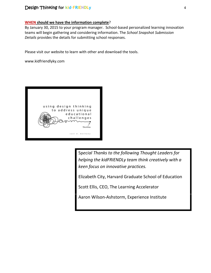### Design Thinking **for kid∙FRIENDLy** 4

#### **WHEN should we have the information complete**?

By January 30, 2015 to your program manager. School-based personalized learning innovation teams will begin gathering and considering information. The *School Snapshot Submission Details* provides the details for submitting school responses.

Please visit our website to learn with other and download the tools.

www.kidfriendlyky.com



Sp*ecial Thanks to the following Thought Leaders for helping the kidFRIENDLy team think creatively with a keen focus on innovative practices.*

Elizabeth City, Harvard Graduate School of Education

Scott Ellis, CEO, The Learning Accelerator

Aaron Wilson-Ashstorm, Experience Institute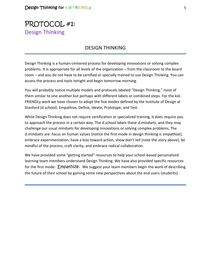## PROTOCOL #1: Design Thinking

## DESIGN THINKING

Design Thinking is a human-centered process for developing innovations or solving complex problems. It is appropriate for all levels of the organization – from the classroom to the board room – and you do not have to be certified or specially trained to use Design Thinking. You can access the process and tools tonight and begin tomorrow morning.

You will probably notice multiple models and protocols labeled "Design Thinking," most of them similar to one another but perhaps with different labels or combined steps. For the kid-FRIENDLy work we have chosen to adopt the five modes defined by the Institute of Design at Stanford (d.school): Empathize, Define, Ideate, Prototype, and Test.

While Design Thinking does not require certification or specialized training, it does require you to approach the process in a certain way. The d.school labels these *d.mindsets*, and they may challenge our usual mindsets for developing innovations or solving complex problems. The d.mindsets are: focus on human values (notice the first mode in design thinking is *empathize*), embrace experimentation, have a bias toward action, show don't tell (note the story above), be mindful of the process, craft clarity, and embrace radical collaboration.

We have provided some "getting started" resources to help your school-based personalized learning team members understand Design Thinking. We have also provided specific resources for the first mode: Empathize. We suggest your team members begin the work of describing the future of their school by gaining some new perspectives about the end users (students).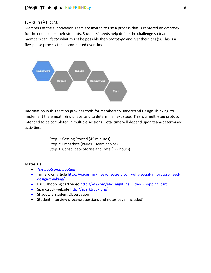### DESCRIPTION:

Members of the s Innovation Team are invited to use a process that is centered on *empathy* for the end users – their students. Students' needs help define the challenge so team members can *ideate* what might be possible then *prototype* and *test* their idea(s). This is a five-phase process that is completed over time.



Information in this section provides tools for members to understand Design Thinking, to implement the empathizing phase, and to determine next steps. This is a multi-step protocol intended to be completed in multiple sessions. Total time will depend upon team-determined activities.

> Step 1: Getting Started (45 minutes) Step 2: Empathize (varies – team choice) Step 3: Consolidate Stories and Data (1-2 hours)

#### **Materials**

- *[The Bootcamp Bootleg](http://dschool.stanford.edu/use-our-methods/the-bootcamp-bootleg/)*
- Tim Brown article http://voices.mckinseyonsociety.com/why-social-innovators-needdesign-thinking/
- IDEO shopping cart video http://wn.com/abc\_nightline\_ideo\_shopping\_cart
- **Sparktruck website<http://sparktruck.org/>**
- Shadow a Student Observation
- Student interview process/questions and notes page (included)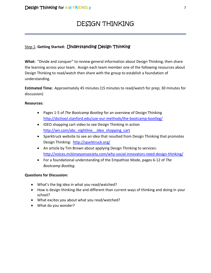## DESIGN THINKING

## Step 1: **Getting Started:** Understanding Design Thinking

**What:** "Divide and conquer" to review general information about Design Thinking, then share the learning across your team. Assign each team member one of the following resources about Design Thinking to read/watch then share with the group to establish a foundation of understanding.

**Estimated Time:** Approximately 45 minutes (15 minutes to read/watch for prep; 30 minutes for discussion)

#### **Resources:**

- Pages 1-5 of *The Bootcamp Bootleg* for an overview of Design Thinking <http://dschool.stanford.edu/use-our-methods/the-bootcamp-bootleg/>
- IDEO shopping cart video to see Design Thinking in action http://wn.com/abc\_nightline\_ideo\_shopping\_cart
- Sparktruck website to see an idea that resulted from Design Thinking that promotes Design Thinking: <http://sparktruck.org/>
- An article by Tim Brown about applying Design Thinking to services: <http://voices.mckinseyonsociety.com/why-social-innovators-need-design-thinking/>
- For a foundational understanding of the Empathize Mode, pages 6-12 of *The Bootcamp Bootleg.*

#### **Questions for Discussion:**

- What's the big idea in what you read/watched?
- How is design thinking like and different than current ways of thinking and doing in your school?
- What excites you about what you read/watched?
- What do you wonder?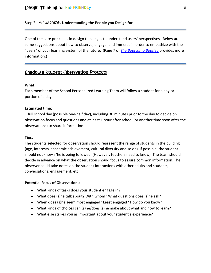#### Step 2: Empathize, **Understanding the People you Design for**

One of the core principles in design thinking is to understand users' perspectives. Below are some suggestions about how to observe, engage, and immerse in order to empathize with the "users" of your learning system of the future. (Page 7 of *[The Bootcamp Bootleg](http://dschool.stanford.edu/use-our-methods/the-bootcamp-bootleg/)* provides more information.)

## Shadow a Student Observation Protocol:

#### **What:**

Each member of the School Personalized Learning Team will follow a student for a day or portion of a day

#### **Estimated time:**

1 full school day (possible one-half day), including 30 minutes prior to the day to decide on observation focus and questions and at least 1 hour after school (or another time soon after the observations) to share information.

#### **Tips:**

The students selected for observation should represent the range of students in the building (age, interests, academic achievement, cultural diversity and so on). If possible, the student should not know s/he is being followed. (However, teachers need to know). The team should decide in advance on what the observation should focus to assure common information. The observer could take notes on the student interactions with other adults and students, conversations, engagement, etc.

#### **Potential Focus of Observations:**

- What kinds of tasks does your student engage in?
- What does (s)he talk about? With whom? What questions does (s)he ask?
- When does (s)he seem most engaged? Least engaged? How do you know?
- What kinds of choices can (s)he/does (s)he make about what and how to learn?
- What else strikes you as important about your student's experience?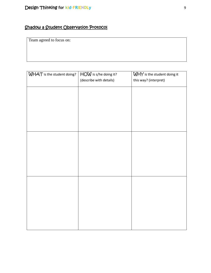## Shadow a Student Observation Protocol

Team agreed to focus on:

| WHAT is the student doing? | HOW is s/he doing it?   | WHY is the student doing it |
|----------------------------|-------------------------|-----------------------------|
|                            | (describe with details) | this way? (interpret)       |
|                            |                         |                             |
|                            |                         |                             |
|                            |                         |                             |
|                            |                         |                             |
|                            |                         |                             |
|                            |                         |                             |
|                            |                         |                             |
|                            |                         |                             |
|                            |                         |                             |
|                            |                         |                             |
|                            |                         |                             |
|                            |                         |                             |
|                            |                         |                             |
|                            |                         |                             |
|                            |                         |                             |
|                            |                         |                             |
|                            |                         |                             |
|                            |                         |                             |
|                            |                         |                             |
|                            |                         |                             |
|                            |                         |                             |
|                            |                         |                             |
|                            |                         |                             |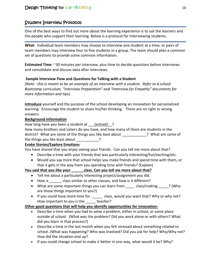## Student Interview Protocol:

One of the best ways to find out more about the learning experience is to ask the learners and the people who support their learning. Below is a protocol for interviewing students.

**What**: Individual team members may choose to interview one student at a time, or pairs of team members may interview four to five students in a group. The team should plan a common set of questions to provide some common information.

**Estimated Time**: ~30 minutes per interview, plus time to decide questions before interviews and consolidate and discuss data after interviews

### **Sample Interview Flow and Questions for Talking with a Student**

*(Note - this is meant to be an example of an interview with a student. Refer to d.school Bootcamp curriculum, "Interview Preparation" and "Interview for Empathy" documents for more information and tips).* 

**Introduce** yourself and the purpose of the school developing an innovation for personalized learning. Encourage the student to share his/her thinking. There are no right or wrong answers.

### **Background Information**

How long have you been a student at (school) ?

How many brothers and sisters do you have, and how many of them are students in the district? What are some of the things you like best about 2 What are some of the things you like least about 2

#### **Evoke Stories/Explore Emotions**

You have shared that you enjoy seeing your friends. Can you tell me more about that?

- Describe a time with your friends that was particularly interesting/fun/exciting/etc.
- Would you say more that school helps you make friends and spend time with them, or that it gets in the way from you spending time with friends? (Explain)

### **You said that you like your \_\_\_\_\_\_class. Can you tell me more about that?**

- Tell me about a particularly interesting project/assignment you did.
- How is class similar to other classes, and how is it different?
- What are some important things you can learn from class/making ? (Why are those things important to you?)
- If you could have more time for \_\_\_\_\_ class, would you want that? Why or why not? How important to you is the teacher?

#### **Other good questions that will help you identify opportunities for innovation:**

- Describe a time when you had to solve a problem, either in school, or some place outside of school. (What was the problem? Did you work alone or with others? What did you learn in that process?)
- Describe a time in the last month when you felt stressed about something related to school. (What was happening? Who was involved? Did you ask for help? Why/Why not? How did the situation end up?
- If you could change school to make it better in one way, what would it be? Why?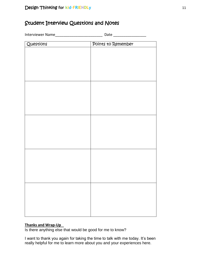## Student Interview Questions and Notes

Interviewer Name\_\_\_\_\_\_\_\_\_\_\_\_\_\_\_\_\_\_\_\_\_\_\_\_\_\_\_\_\_\_\_\_\_ Date \_\_\_\_\_\_\_\_\_\_\_\_\_\_\_\_\_\_\_\_\_\_\_\_\_ Questions Points to Remember

#### **Thanks and Wrap-Up**

Is there anything else that would be good for me to know?

I want to thank you again for taking the time to talk with me today. It's been really helpful for me to learn more about you and your experiences here.